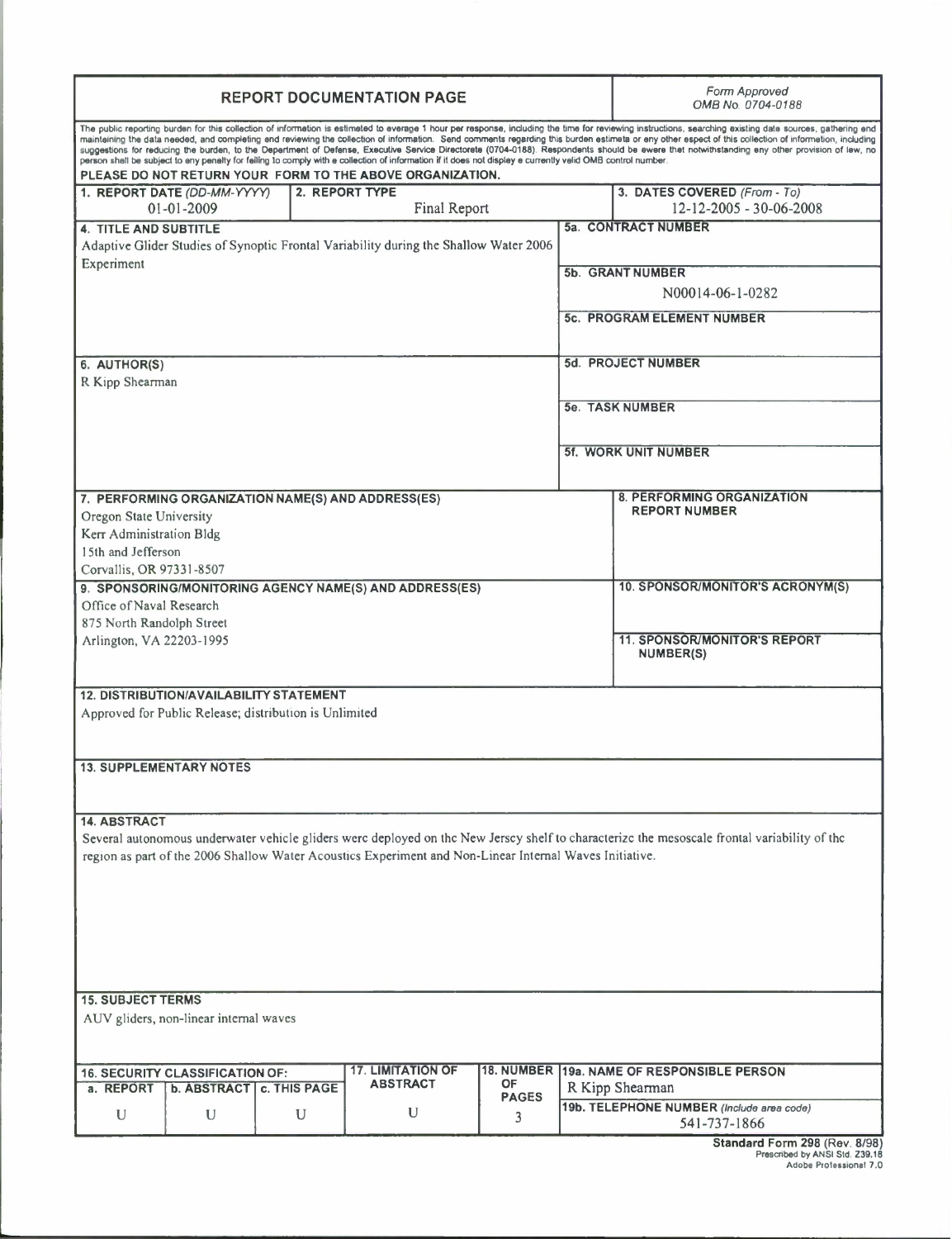| <b>REPORT DOCUMENTATION PAGE</b>                                                                                                                                                                                                                                                                                                                                                                                                                                                                                                                                                                                                                                                                                                                                                                                                                |                            |   |   |                         |                                                              | Form Approved<br>OMB No. 0704-0188                              |  |
|-------------------------------------------------------------------------------------------------------------------------------------------------------------------------------------------------------------------------------------------------------------------------------------------------------------------------------------------------------------------------------------------------------------------------------------------------------------------------------------------------------------------------------------------------------------------------------------------------------------------------------------------------------------------------------------------------------------------------------------------------------------------------------------------------------------------------------------------------|----------------------------|---|---|-------------------------|--------------------------------------------------------------|-----------------------------------------------------------------|--|
| The public reporting burden for this collection of informetion is estimeted to everage 1 hour per response, including the time for reviewing instructions, searching existing date sources, gathering end<br>mainteining the data needed, and completing end reviewing the collection of information. Send comments regarding this burden estimeta or eny other espect of this collection of information, including<br>suggestions for reducing the burden, to the Depertment of Defense, Executive Service Directorete (0704-0188). Respondents should be ewere thet notwithstanding eny other provision of lew, no<br>person shell be subject to eny penelty for feiling to comply with e collection of information if it does not displey e currently velid OMB control number.<br>PLEASE DO NOT RETURN YOUR FORM TO THE ABOVE ORGANIZATION. |                            |   |   |                         |                                                              |                                                                 |  |
| 1. REPORT DATE (DD-MM-YYYY)<br>2. REPORT TYPE<br>Final Report<br>01-01-2009                                                                                                                                                                                                                                                                                                                                                                                                                                                                                                                                                                                                                                                                                                                                                                     |                            |   |   |                         |                                                              | 3. DATES COVERED (From - To)<br>12-12-2005 - 30-06-2008         |  |
| <b>4. TITLE AND SUBTITLE</b>                                                                                                                                                                                                                                                                                                                                                                                                                                                                                                                                                                                                                                                                                                                                                                                                                    |                            |   |   |                         |                                                              | 5a. CONTRACT NUMBER                                             |  |
| Adaptive Glider Studies of Synoptic Frontal Variability during the Shallow Water 2006<br>Experiment                                                                                                                                                                                                                                                                                                                                                                                                                                                                                                                                                                                                                                                                                                                                             |                            |   |   |                         | 5b. GRANT NUMBER                                             |                                                                 |  |
|                                                                                                                                                                                                                                                                                                                                                                                                                                                                                                                                                                                                                                                                                                                                                                                                                                                 |                            |   |   |                         | N00014-06-1-0282                                             |                                                                 |  |
|                                                                                                                                                                                                                                                                                                                                                                                                                                                                                                                                                                                                                                                                                                                                                                                                                                                 |                            |   |   |                         |                                                              | <b>5c. PROGRAM ELEMENT NUMBER</b>                               |  |
|                                                                                                                                                                                                                                                                                                                                                                                                                                                                                                                                                                                                                                                                                                                                                                                                                                                 |                            |   |   |                         |                                                              |                                                                 |  |
| 6. AUTHOR(S)<br>R Kipp Shearman                                                                                                                                                                                                                                                                                                                                                                                                                                                                                                                                                                                                                                                                                                                                                                                                                 |                            |   |   |                         | 5d. PROJECT NUMBER                                           |                                                                 |  |
|                                                                                                                                                                                                                                                                                                                                                                                                                                                                                                                                                                                                                                                                                                                                                                                                                                                 |                            |   |   |                         |                                                              | 5e. TASK NUMBER                                                 |  |
|                                                                                                                                                                                                                                                                                                                                                                                                                                                                                                                                                                                                                                                                                                                                                                                                                                                 |                            |   |   |                         |                                                              |                                                                 |  |
|                                                                                                                                                                                                                                                                                                                                                                                                                                                                                                                                                                                                                                                                                                                                                                                                                                                 |                            |   |   |                         |                                                              | <b>5f. WORK UNIT NUMBER</b>                                     |  |
| 7. PERFORMING ORGANIZATION NAME(S) AND ADDRESS(ES)                                                                                                                                                                                                                                                                                                                                                                                                                                                                                                                                                                                                                                                                                                                                                                                              |                            |   |   |                         |                                                              | <b>8. PERFORMING ORGANIZATION</b>                               |  |
| Oregon State University                                                                                                                                                                                                                                                                                                                                                                                                                                                                                                                                                                                                                                                                                                                                                                                                                         |                            |   |   |                         |                                                              | <b>REPORT NUMBER</b>                                            |  |
| Kerr Administration Bldg<br>15th and Jefferson                                                                                                                                                                                                                                                                                                                                                                                                                                                                                                                                                                                                                                                                                                                                                                                                  |                            |   |   |                         |                                                              |                                                                 |  |
| Corvallis, OR 97331-8507                                                                                                                                                                                                                                                                                                                                                                                                                                                                                                                                                                                                                                                                                                                                                                                                                        |                            |   |   |                         | 10. SPONSOR/MONITOR'S ACRONYM(S)                             |                                                                 |  |
| 9. SPONSORING/MONITORING AGENCY NAME(S) AND ADDRESS(ES)<br>Office of Naval Research                                                                                                                                                                                                                                                                                                                                                                                                                                                                                                                                                                                                                                                                                                                                                             |                            |   |   |                         |                                                              |                                                                 |  |
| 875 North Randolph Street<br>Arlington, VA 22203-1995                                                                                                                                                                                                                                                                                                                                                                                                                                                                                                                                                                                                                                                                                                                                                                                           |                            |   |   |                         |                                                              | <b>11. SPONSOR/MONITOR'S REPORT</b>                             |  |
|                                                                                                                                                                                                                                                                                                                                                                                                                                                                                                                                                                                                                                                                                                                                                                                                                                                 |                            |   |   |                         |                                                              | NUMBER(S)                                                       |  |
| <b>12. DISTRIBUTION/AVAILABILITY STATEMENT</b>                                                                                                                                                                                                                                                                                                                                                                                                                                                                                                                                                                                                                                                                                                                                                                                                  |                            |   |   |                         |                                                              |                                                                 |  |
| Approved for Public Release; distribution is Unlimited                                                                                                                                                                                                                                                                                                                                                                                                                                                                                                                                                                                                                                                                                                                                                                                          |                            |   |   |                         |                                                              |                                                                 |  |
| <b>13. SUPPLEMENTARY NOTES</b>                                                                                                                                                                                                                                                                                                                                                                                                                                                                                                                                                                                                                                                                                                                                                                                                                  |                            |   |   |                         |                                                              |                                                                 |  |
|                                                                                                                                                                                                                                                                                                                                                                                                                                                                                                                                                                                                                                                                                                                                                                                                                                                 |                            |   |   |                         |                                                              |                                                                 |  |
| <b>14. ABSTRACT</b>                                                                                                                                                                                                                                                                                                                                                                                                                                                                                                                                                                                                                                                                                                                                                                                                                             |                            |   |   |                         |                                                              |                                                                 |  |
| Several autonomous underwater vehicle gliders were deployed on the New Jersey shelf to characterize the mesoscale frontal variability of the<br>region as part of the 2006 Shallow Water Acoustics Experiment and Non-Linear Internal Waves Initiative.                                                                                                                                                                                                                                                                                                                                                                                                                                                                                                                                                                                         |                            |   |   |                         |                                                              |                                                                 |  |
|                                                                                                                                                                                                                                                                                                                                                                                                                                                                                                                                                                                                                                                                                                                                                                                                                                                 |                            |   |   |                         |                                                              |                                                                 |  |
|                                                                                                                                                                                                                                                                                                                                                                                                                                                                                                                                                                                                                                                                                                                                                                                                                                                 |                            |   |   |                         |                                                              |                                                                 |  |
|                                                                                                                                                                                                                                                                                                                                                                                                                                                                                                                                                                                                                                                                                                                                                                                                                                                 |                            |   |   |                         |                                                              |                                                                 |  |
|                                                                                                                                                                                                                                                                                                                                                                                                                                                                                                                                                                                                                                                                                                                                                                                                                                                 |                            |   |   |                         |                                                              |                                                                 |  |
| <b>15. SUBJECT TERMS</b>                                                                                                                                                                                                                                                                                                                                                                                                                                                                                                                                                                                                                                                                                                                                                                                                                        |                            |   |   |                         |                                                              |                                                                 |  |
| AUV gliders, non-linear internal waves                                                                                                                                                                                                                                                                                                                                                                                                                                                                                                                                                                                                                                                                                                                                                                                                          |                            |   |   |                         |                                                              |                                                                 |  |
| <b>17. LIMITATION OF</b><br>18. NUMBER 19a. NAME OF RESPONSIBLE PERSON<br><b>16. SECURITY CLASSIFICATION OF:</b><br><b>ABSTRACT</b>                                                                                                                                                                                                                                                                                                                                                                                                                                                                                                                                                                                                                                                                                                             |                            |   |   |                         |                                                              |                                                                 |  |
| a. REPORT                                                                                                                                                                                                                                                                                                                                                                                                                                                                                                                                                                                                                                                                                                                                                                                                                                       | b. ABSTRACT   c. THIS PAGE |   | U | OF<br><b>PAGES</b><br>3 | R Kipp Shearman<br>19b. TELEPHONE NUMBER (Include area code) |                                                                 |  |
| U                                                                                                                                                                                                                                                                                                                                                                                                                                                                                                                                                                                                                                                                                                                                                                                                                                               | U                          | U |   |                         |                                                              | 541-737-1866                                                    |  |
|                                                                                                                                                                                                                                                                                                                                                                                                                                                                                                                                                                                                                                                                                                                                                                                                                                                 |                            |   |   |                         |                                                              | Standard Form 298 (Rev. 8/98)<br>Prescribed by ANSI Std. 739.18 |  |

Prescribed by ANSI Sid. Z39.18 Adobe Professional 7.0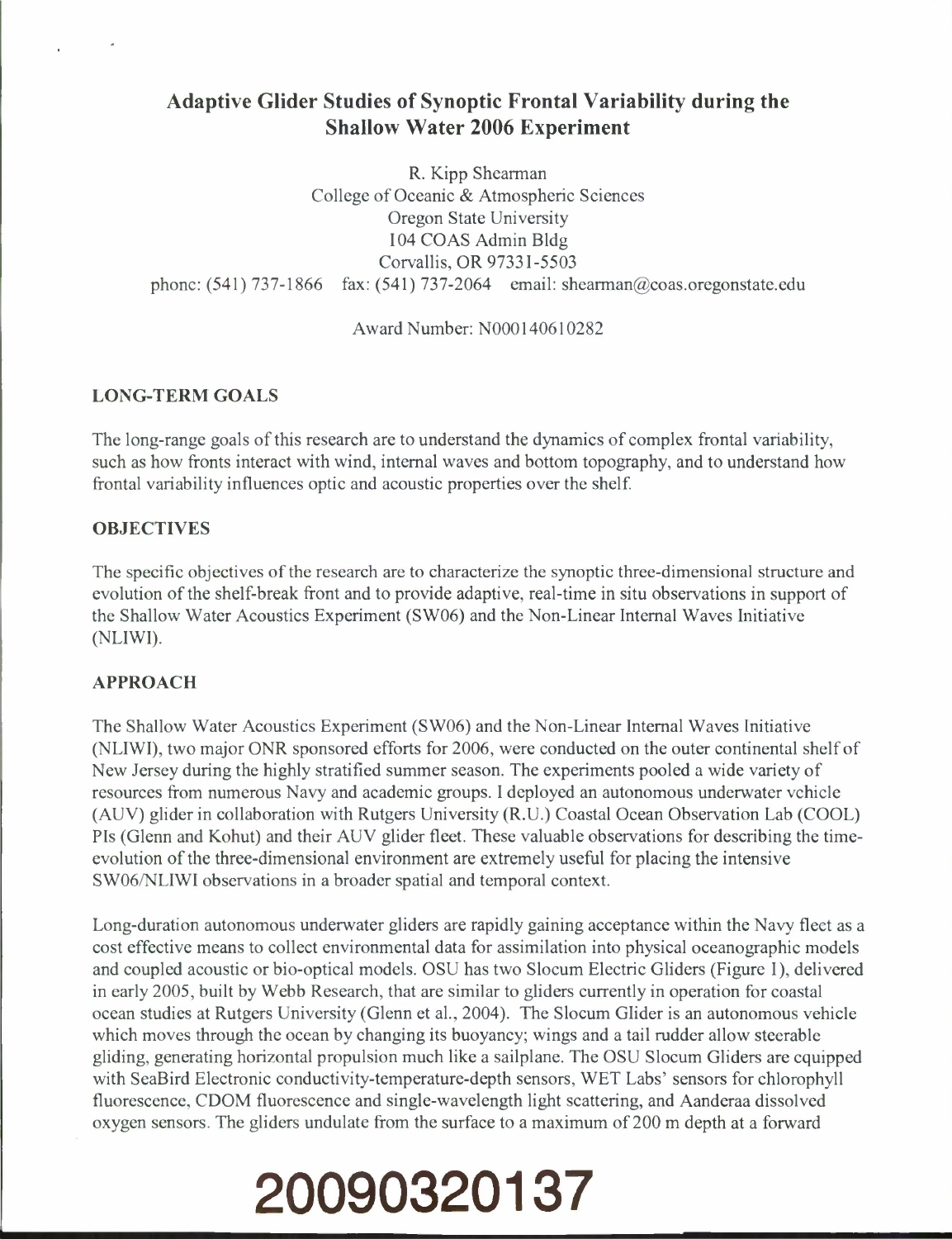## Adaptive Glider Studies of Synoptic Frontal Variability during the Shallow Water 2006 Experiment

R. Kipp Shearman College of Oceanic & Atmospheric Sciences Oregon State University 104 COAS Admin Bldg Corvallis, OR 97331-5503 phone:  $(541)$  737-1866 fax:  $(541)$  737-2064 email: shearman@coas.oregonstate.edu

Award Number: N000140610282

## **LONG-TERM GOALS**

The long-range goals of this research are to understand the dynamics of complex frontal variability, such as how fronts interact with wind, internal waves and bottom topography, and to understand how frontal variability influences optic and acoustic properties over the shelf

### **OBJECTIVES**

The specific objectives of the research are to characterize the synoptic three-dimensional structure and evolution of the shelf-break front and to provide adaptive, real-time in situ observations in support of the Shallow Water Acoustics Experiment (SW06) and the Non-Linear Internal Waves Initiative (NLIWI).

### **APPROACH**

The Shallow Water Acoustics Experiment (SW06) and the Non-Linear Internal Waves Initiative (NLIWI), two major ONR sponsored efforts for 2006, were conducted on the outer continental shelf of New Jersey during the highly stratified summer season. The experiments pooled a wide variety of resources from numerous Navy and academic groups. I deployed an autonomous underwater vehicle (AUV) glider in collaboration with Rutgers University (R.U.) Coastal Ocean Observation Lab (COOL) Pis (Glenn and Kohut) and their AUV glider fleet. These valuable observations for describing the timeevolution of the three-dimensional environment are extremely useful for placing the intensive SW06/NLIWI observations in a broader spatial and temporal context.

Long-duration autonomous underwater gliders are rapidly gaining acceptance within the Navy fleet as a cost effective means to collect environmental data for assimilation into physical oceanographic models and coupled acoustic or bio-optical models. OSU has two Slocum Electric Gliders (Figure 1), delivered in early 2005, built by Webb Research, that are similar to gliders currently in operation for coastal ocean studies at Rutgers University (Glenn et al., 2004). The Slocum Glider is an autonomous vehicle which moves through the ocean by changing its buoyancy; wings and a tail rudder allow steerable gliding, generating horizontal propulsion much like a sailplane. The OSU Slocum Gliders are equipped with SeaBird Electronic conductivity-temperature-depth sensors, WET Labs' sensors for chlorophyll fluorescence, CDOM fluorescence and single-wavelength light scattering, and Aanderaa dissolved oxygen sensors. The gliders undulate from the surface to a maximum of 200 m depth at a forward

# **20090320137**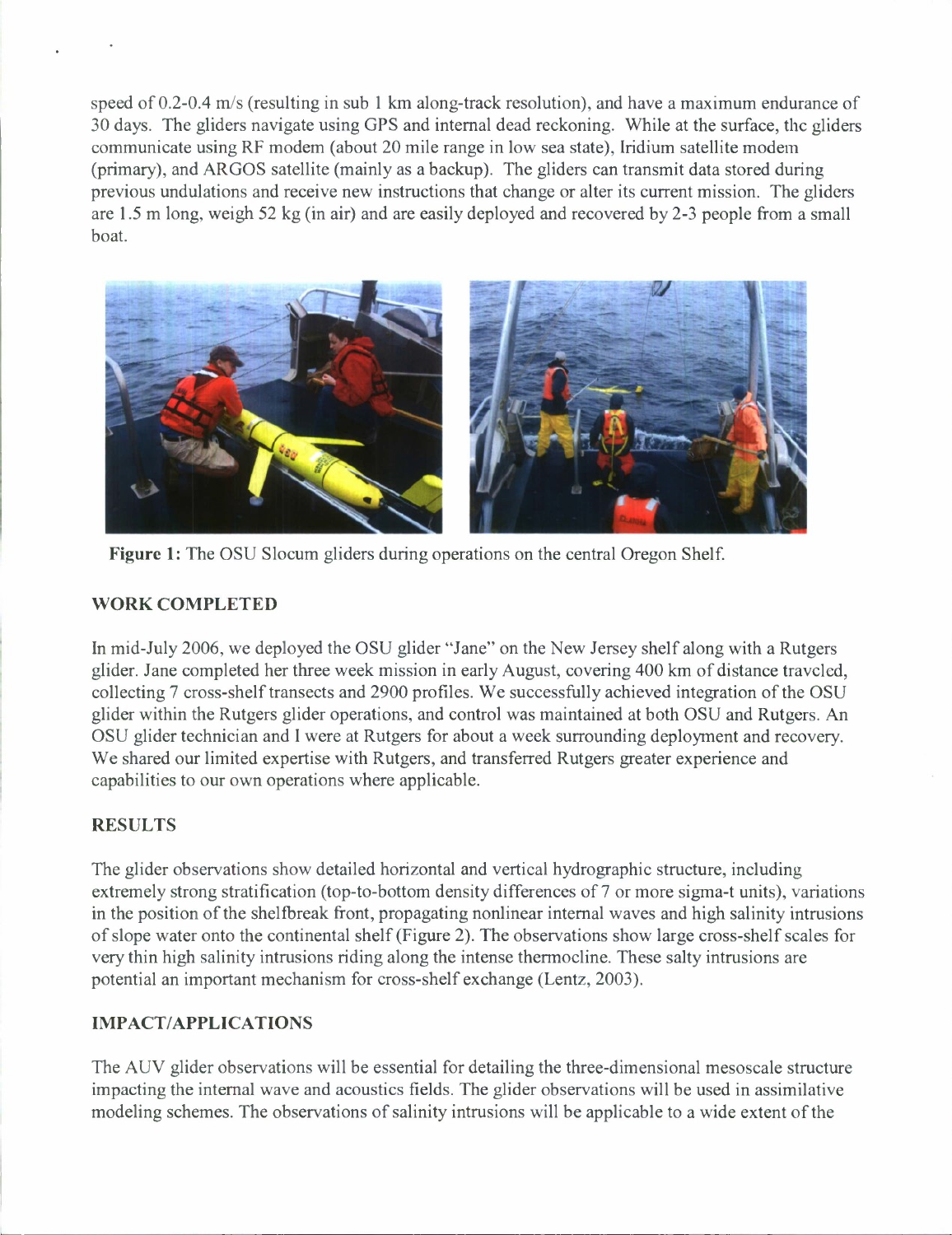speed of 0.2-0.4 m/s (resulting in sub <sup>1</sup> km along-track resolution), and have a maximum endurance of 30 days. The gliders navigate using GPS and internal dead reckoning. While at the surface, the gliders communicate using RF modem (about 20 mile range in low sea state), Iridium satellite modem (primary), and ARGOS satellite (mainly as a backup). The gliders can transmit data stored during previous undulations and receive new instructions that change or alter its current mission. The gliders are 1.5 m long, weigh 52 kg (in air) and are easily deployed and recovered by 2-3 people from a small boat.



**Figure <sup>1</sup>**: The OSU Slocum gliders during operations on the central Oregon Shelf.

## **WORK COMPLETED**

In mid-July 2006, we deployed the OSU glider "Jane" on the New Jersey shelf along with a Rutgers glider. Jane completed her three week mission in early August, covering 400 km of distance traveled, collecting 7 cross-shelf transects and 2900 profiles. We successfully achieved integration of the OSU glider within the Rutgers glider operations, and control was maintained at both OSU and Rutgers. An OSU glider technician and <sup>I</sup> were at Rutgers for about a week surrounding deployment and recovery. We shared our limited expertise with Rutgers, and transferred Rutgers greater experience and capabilities to our own operations where applicable.

## **RESULTS**

The glider observations show detailed horizontal and vertical hydrographic structure, including extremely strong stratification (top-to-bottom density differences of 7 or more sigma-t units), variations in the position of the shelfbreak front, propagating nonlinear internal waves and high salinity intrusions of slope water onto the continental shelf (Figure 2). The observations show large cross-shelf scales for very thin high salinity intrusions riding along the intense thermocline. These salty intrusions are potential an important mechanism for cross-shelf exchange (Lentz, 2003).

## **IMPACT/APPLICATIONS**

The AUV glider observations will be essential for detailing the three-dimensional mesoscale structure impacting the internal wave and acoustics fields. The glider observations will be used in assimilative modeling schemes. The observations of salinity intrusions will be applicable to a wide extent of the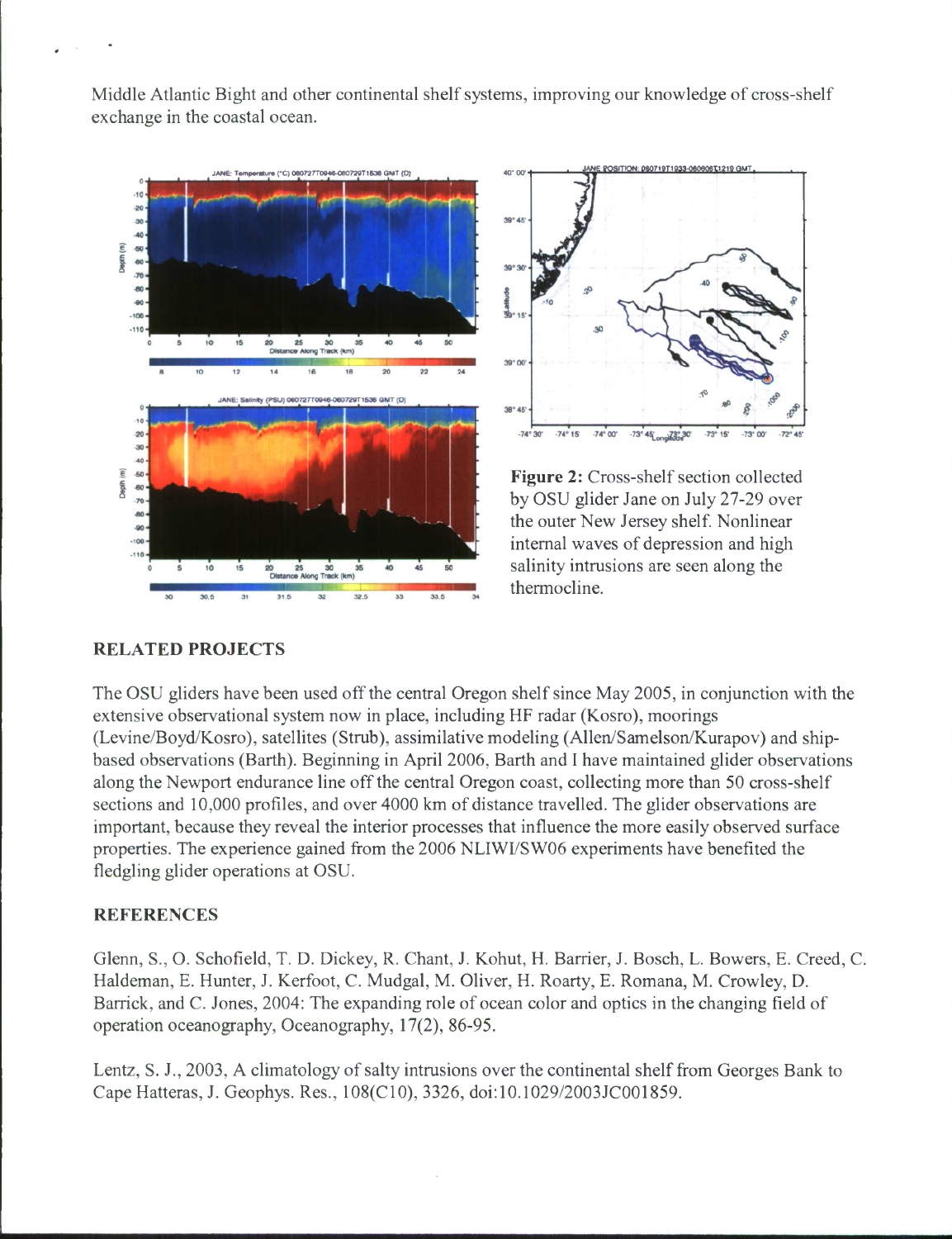Middle Atlantic Bight and other continental shelf systems, improving our knowledge of cross-shelf exchange in the coastal ocean.





**Figure 2:** Cross-shelf section collected by OSU glider Jane on July 27-29 over the outer New Jersey shelf. Nonlinear internal waves of depression and high salinity intrusions are seen along the thermocline.

### **RELATED PROJECTS**

The OSU gliders have been used offthe central Oregon shelf since May 2005, in conjunction with the extensive observational system now in place, including HF radar (Kosro), moorings (Levine/Boyd/Kosro), satellites (Strub), assimilative modeling (Allen/Samelson/Kurapov) and shipbased observations (Barth). Beginning in April 2006, Barth and <sup>I</sup> have maintained glider observations along the Newport endurance line off the central Oregon coast, collecting more than 50 cross-shelf sections and 10,000 profiles, and over 4000 km of distance travelled. The glider observations are important, because they reveal the interior processes that influence the more easily observed surface properties. The experience gained from the 2006 NLIWI/SW06 experiments have benefited the fledgling glider operations at OSU.

#### **REFERENCES**

Glenn, S., O. Schofield, T. D. Dickey, R. Chant, J. Kohut, H. Barrier, J. Bosch, L. Bowers, E. Creed, C. Haldeman, E. Hunter, J. Kerfoot, C. Mudgal, M. Oliver, H. Roarty, E. Romana, M. Crowley, D. Barrick, and C. Jones, 2004: The expanding role of ocean color and optics in the changing field of operation oceanography, Oceanography, 17(2), 86-95.

Lentz, S. J., 2003, A climatology of salty intrusions over the continental shelf from Georges Bank to Cape Hatteras, J. Geophys. Res., 108(C10), 3326, doi:10.1029/2003JC001859.